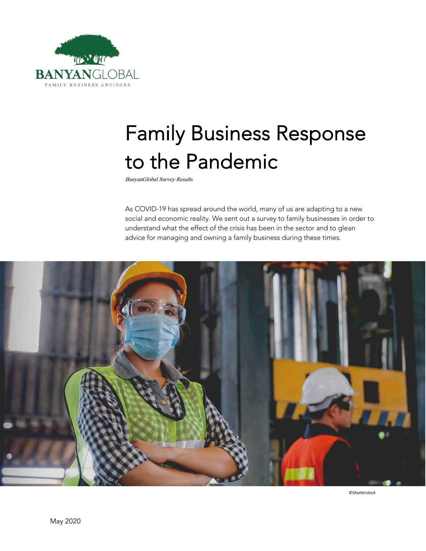

# Family Business Response to the Pandemic

BanyanGlobal Survey Results

As COVID-19 has spread around the world, many of us are adapting to a new social and economic reality. We sent out a survey to family businesses in order to understand what the effect of the crisis has been in the sector and to glean advice for managing and owning a family business during these times.



*©Shutterstock*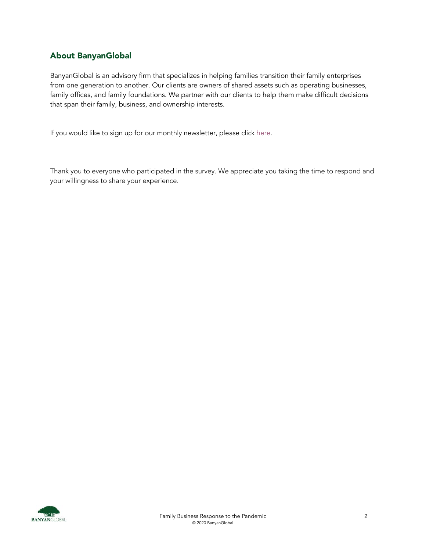# About BanyanGlobal

BanyanGlobal is an advisory firm that specializes in helping families transition their family enterprises from one generation to another. Our clients are owners of shared assets such as operating businesses, family offices, and family foundations. We partner with our clients to help them make difficult decisions that span their family, business, and ownership interests.

If you would like to sign up for our monthly newsletter, please click [here.](http://eepurl.com/duX9nD)

Thank you to everyone who participated in the survey. We appreciate you taking the time to respond and your willingness to share your experience.

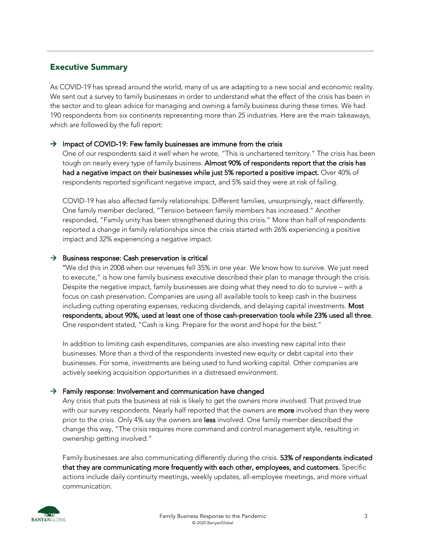## Executive Summary

As COVID-19 has spread around the world, many of us are adapting to a new social and economic reality. We sent out a survey to family businesses in order to understand what the effect of the crisis has been in the sector and to glean advice for managing and owning a family business during these times. We had 190 respondents from six continents representing more than 25 industries. Here are the main takeaways, which are followed by the full report:

## $\rightarrow$  Impact of COVID-19: Few family businesses are immune from the crisis

One of our respondents said it well when he wrote, "This is unchartered territory." The crisis has been tough on nearly every type of family business. Almost 90% of respondents report that the crisis has had a negative impact on their businesses while just 5% reported a positive impact. Over 40% of respondents reported significant negative impact, and 5% said they were at risk of failing.

COVID-19 has also affected family relationships. Different families, unsurprisingly, react differently. One family member declared, "Tension between family members has increased." Another responded, "Family unity has been strengthened during this crisis." More than half of respondents reported a change in family relationships since the crisis started with 26% experiencing a positive impact and 32% experiencing a negative impact.

## $\rightarrow$  Business response: Cash preservation is critical

"We did this in 2008 when our revenues fell 35% in one year. We know how to survive. We just need to execute," is how one family business executive described their plan to manage through the crisis. Despite the negative impact, family businesses are doing what they need to do to survive – with a focus on cash preservation. Companies are using all available tools to keep cash in the business including cutting operating expenses, reducing dividends, and delaying capital investments. Most respondents, about 90%, used at least one of those cash-preservation tools while 23% used all three. One respondent stated, "Cash is king. Prepare for the worst and hope for the best."

In addition to limiting cash expenditures, companies are also investing new capital into their businesses. More than a third of the respondents invested new equity or debt capital into their businesses. For some, investments are being used to fund working capital. Other companies are actively seeking acquisition opportunities in a distressed environment.

## $\rightarrow$  Family response: Involvement and communication have changed

Any crisis that puts the business at risk is likely to get the owners more involved. That proved true with our survey respondents. Nearly half reported that the owners are more involved than they were prior to the crisis. Only 4% say the owners are less involved. One family member described the change this way, "The crisis requires more command and control management style, resulting in ownership getting involved."

Family businesses are also communicating differently during the crisis. 53% of respondents indicated that they are communicating more frequently with each other, employees, and customers. Specific actions include daily continuity meetings, weekly updates, all-employee meetings, and more virtual communication.

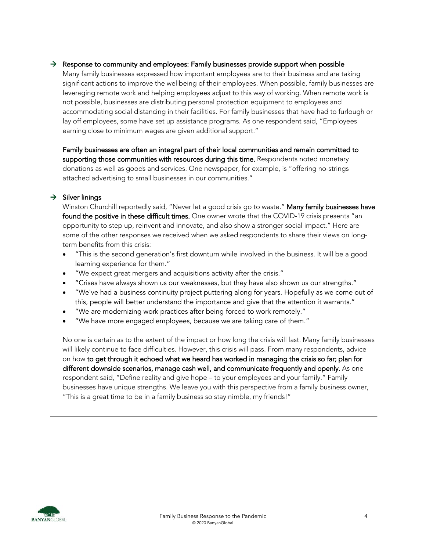## $\rightarrow$  Response to community and employees: Family businesses provide support when possible

Many family businesses expressed how important employees are to their business and are taking significant actions to improve the wellbeing of their employees. When possible, family businesses are leveraging remote work and helping employees adjust to this way of working. When remote work is not possible, businesses are distributing personal protection equipment to employees and accommodating social distancing in their facilities. For family businesses that have had to furlough or lay off employees, some have set up assistance programs. As one respondent said, "Employees earning close to minimum wages are given additional support."

Family businesses are often an integral part of their local communities and remain committed to supporting those communities with resources during this time. Respondents noted monetary donations as well as goods and services. One newspaper, for example, is "offering no-strings attached advertising to small businesses in our communities."

## $\rightarrow$  Silver linings

Winston Churchill reportedly said, "Never let a good crisis go to waste." Many family businesses have found the positive in these difficult times. One owner wrote that the COVID-19 crisis presents "an opportunity to step up, reinvent and innovate, and also show a stronger social impact." Here are some of the other responses we received when we asked respondents to share their views on longterm benefits from this crisis:

- "This is the second generation's first downturn while involved in the business. It will be a good learning experience for them."
- "We expect great mergers and acquisitions activity after the crisis."
- "Crises have always shown us our weaknesses, but they have also shown us our strengths."
- "We've had a business continuity project puttering along for years. Hopefully as we come out of this, people will better understand the importance and give that the attention it warrants."
- "We are modernizing work practices after being forced to work remotely."
- "We have more engaged employees, because we are taking care of them."

No one is certain as to the extent of the impact or how long the crisis will last. Many family businesses will likely continue to face difficulties. However, this crisis will pass. From many respondents, advice on how to get through it echoed what we heard has worked in managing the crisis so far; plan for different downside scenarios, manage cash well, and communicate frequently and openly. As one respondent said, "Define reality and give hope – to your employees and your family." Family businesses have unique strengths. We leave you with this perspective from a family business owner, "This is a great time to be in a family business so stay nimble, my friends!"

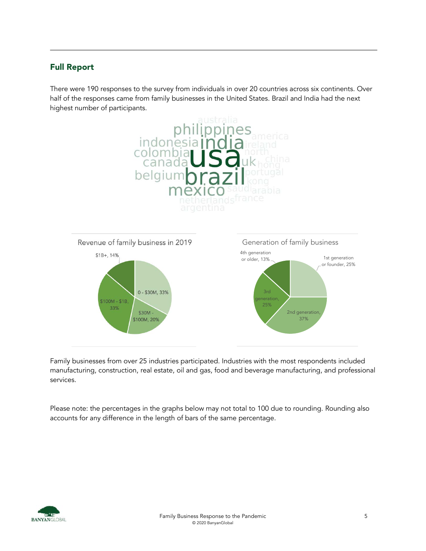## Full Report

There were 190 responses to the survey from individuals in over 20 countries across six continents. Over half of the responses came from family businesses in the United States. Brazil and India had the next highest number of participants.



Family businesses from over 25 industries participated. Industries with the most respondents included manufacturing, construction, real estate, oil and gas, food and beverage manufacturing, and professional services.

Please note: the percentages in the graphs below may not total to 100 due to rounding. Rounding also accounts for any difference in the length of bars of the same percentage.

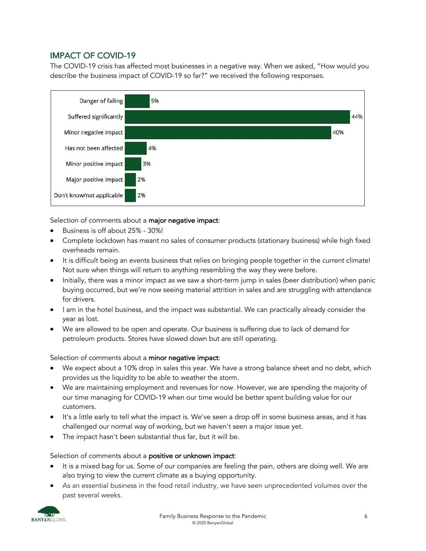## IMPACT OF COVID-19

The COVID-19 crisis has affected most businesses in a negative way. When we asked, "How would you describe the business impact of COVID-19 so far?" we received the following responses.



Selection of comments about a major negative impact:

- Business is off about 25% 30%!
- Complete lockdown has meant no sales of consumer products (stationary business) while high fixed overheads remain.
- It is difficult being an events business that relies on bringing people together in the current climate! Not sure when things will return to anything resembling the way they were before.
- Initially, there was a minor impact as we saw a short-term jump in sales (beer distribution) when panic buying occurred, but we're now seeing material attrition in sales and are struggling with attendance for drivers.
- I am in the hotel business, and the impact was substantial. We can practically already consider the year as lost.
- We are allowed to be open and operate. Our business is suffering due to lack of demand for petroleum products. Stores have slowed down but are still operating.

Selection of comments about a minor negative impact:

- We expect about a 10% drop in sales this year. We have a strong balance sheet and no debt, which provides us the liquidity to be able to weather the storm.
- We are maintaining employment and revenues for now. However, we are spending the majority of our time managing for COVID-19 when our time would be better spent building value for our customers.
- It's a little early to tell what the impact is. We've seen a drop off in some business areas, and it has challenged our normal way of working, but we haven't seen a major issue yet.
- The impact hasn't been substantial thus far, but it will be.

Selection of comments about a positive or unknown impact:

- It is a mixed bag for us. Some of our companies are feeling the pain, others are doing well. We are also trying to view the current climate as a buying opportunity.
- As an essential business in the food retail industry, we have seen unprecedented volumes over the past several weeks.

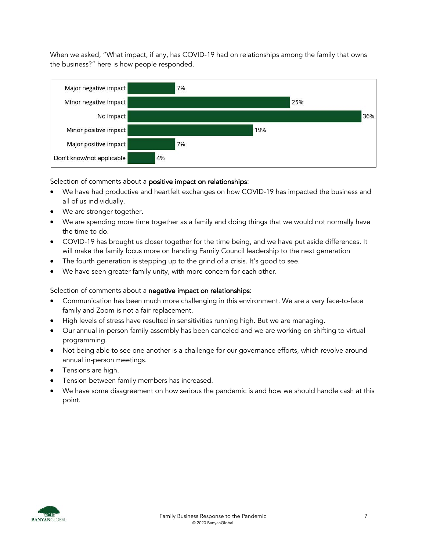When we asked, "What impact, if any, has COVID-19 had on relationships among the family that owns the business?" here is how people responded.



Selection of comments about a **positive impact on relationships**:

- We have had productive and heartfelt exchanges on how COVID-19 has impacted the business and all of us individually.
- We are stronger together.
- We are spending more time together as a family and doing things that we would not normally have the time to do.
- COVID-19 has brought us closer together for the time being, and we have put aside differences. It will make the family focus more on handing Family Council leadership to the next generation
- The fourth generation is stepping up to the grind of a crisis. It's good to see.
- We have seen greater family unity, with more concern for each other.

Selection of comments about a negative impact on relationships:

- Communication has been much more challenging in this environment. We are a very face-to-face family and Zoom is not a fair replacement.
- High levels of stress have resulted in sensitivities running high. But we are managing.
- Our annual in-person family assembly has been canceled and we are working on shifting to virtual programming.
- Not being able to see one another is a challenge for our governance efforts, which revolve around annual in-person meetings.
- Tensions are high.
- Tension between family members has increased.
- We have some disagreement on how serious the pandemic is and how we should handle cash at this point.

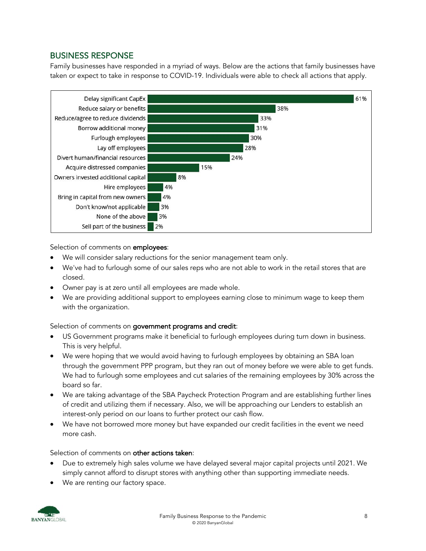## BUSINESS RESPONSE

Family businesses have responded in a myriad of ways. Below are the actions that family businesses have taken or expect to take in response to COVID-19. Individuals were able to check all actions that apply.



Selection of comments on employees:

- We will consider salary reductions for the senior management team only.
- We've had to furlough some of our sales reps who are not able to work in the retail stores that are closed.
- Owner pay is at zero until all employees are made whole.
- We are providing additional support to employees earning close to minimum wage to keep them with the organization.

## Selection of comments on government programs and credit:

- US Government programs make it beneficial to furlough employees during turn down in business. This is very helpful.
- We were hoping that we would avoid having to furlough employees by obtaining an SBA loan through the government PPP program, but they ran out of money before we were able to get funds. We had to furlough some employees and cut salaries of the remaining employees by 30% across the board so far.
- We are taking advantage of the SBA Paycheck Protection Program and are establishing further lines of credit and utilizing them if necessary. Also, we will be approaching our Lenders to establish an interest-only period on our loans to further protect our cash flow.
- We have not borrowed more money but have expanded our credit facilities in the event we need more cash.

## Selection of comments on other actions taken:

- Due to extremely high sales volume we have delayed several major capital projects until 2021. We simply cannot afford to disrupt stores with anything other than supporting immediate needs.
- We are renting our factory space.

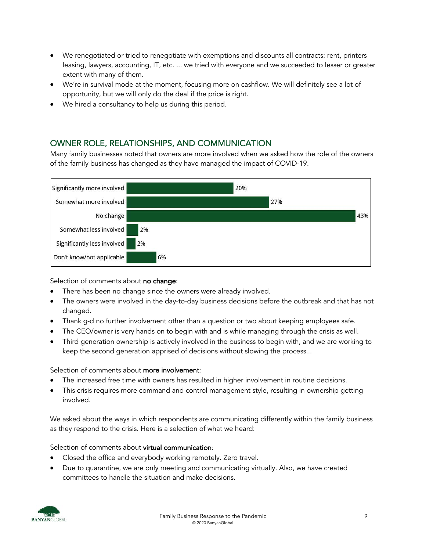- We renegotiated or tried to renegotiate with exemptions and discounts all contracts: rent, printers leasing, lawyers, accounting, IT, etc. ... we tried with everyone and we succeeded to lesser or greater extent with many of them.
- We're in survival mode at the moment, focusing more on cashflow. We will definitely see a lot of opportunity, but we will only do the deal if the price is right.
- We hired a consultancy to help us during this period.

# OWNER ROLE, RELATIONSHIPS, AND COMMUNICATION

Many family businesses noted that owners are more involved when we asked how the role of the owners of the family business has changed as they have managed the impact of COVID-19.



Selection of comments about no change:

- There has been no change since the owners were already involved.
- The owners were involved in the day-to-day business decisions before the outbreak and that has not changed.
- Thank g-d no further involvement other than a question or two about keeping employees safe.
- The CEO/owner is very hands on to begin with and is while managing through the crisis as well.
- Third generation ownership is actively involved in the business to begin with, and we are working to keep the second generation apprised of decisions without slowing the process...

## Selection of comments about more involvement:

- The increased free time with owners has resulted in higher involvement in routine decisions.
- This crisis requires more command and control management style, resulting in ownership getting involved.

We asked about the ways in which respondents are communicating differently within the family business as they respond to the crisis. Here is a selection of what we heard:

## Selection of comments about virtual communication:

- Closed the office and everybody working remotely. Zero travel.
- Due to quarantine, we are only meeting and communicating virtually. Also, we have created committees to handle the situation and make decisions.

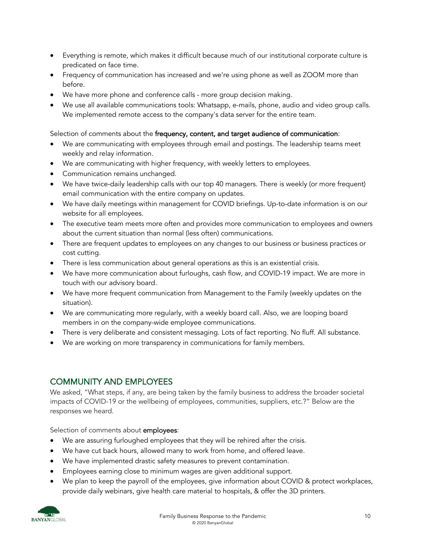- Everything is remote, which makes it difficult because much of our institutional corporate culture is predicated on face time.
- Frequency of communication has increased and we're using phone as well as ZOOM more than before.
- We have more phone and conference calls more group decision making.
- We use all available communications tools: Whatsapp, e-mails, phone, audio and video group calls. We implemented remote access to the company's data server for the entire team.

## Selection of comments about the frequency, content, and target audience of communication:

- We are communicating with employees through email and postings. The leadership teams meet weekly and relay information.
- We are communicating with higher frequency, with weekly letters to employees.
- Communication remains unchanged.
- We have twice-daily leadership calls with our top 40 managers. There is weekly (or more frequent) email communication with the entire company on updates.
- We have daily meetings within management for COVID briefings. Up-to-date information is on our website for all employees.
- The executive team meets more often and provides more communication to employees and owners about the current situation than normal (less often) communications.
- There are frequent updates to employees on any changes to our business or business practices or cost cutting.
- There is less communication about general operations as this is an existential crisis.
- We have more communication about furloughs, cash flow, and COVID-19 impact. We are more in touch with our advisory board.
- We have more frequent communication from Management to the Family (weekly updates on the situation).
- We are communicating more regularly, with a weekly board call. Also, we are looping board members in on the company-wide employee communications.
- There is very deliberate and consistent messaging. Lots of fact reporting. No fluff. All substance.
- We are working on more transparency in communications for family members.

# COMMUNITY AND EMPLOYEES

We asked, "What steps, if any, are being taken by the family business to address the broader societal impacts of COVID-19 or the wellbeing of employees, communities, suppliers, etc.?" Below are the responses we heard.

Selection of comments about **employees**:

- We are assuring furloughed employees that they will be rehired after the crisis.
- We have cut back hours, allowed many to work from home, and offered leave.
- We have implemented drastic safety measures to prevent contamination.
- Employees earning close to minimum wages are given additional support.
- We plan to keep the payroll of the employees, give information about COVID & protect workplaces, provide daily webinars, give health care material to hospitals, & offer the 3D printers.

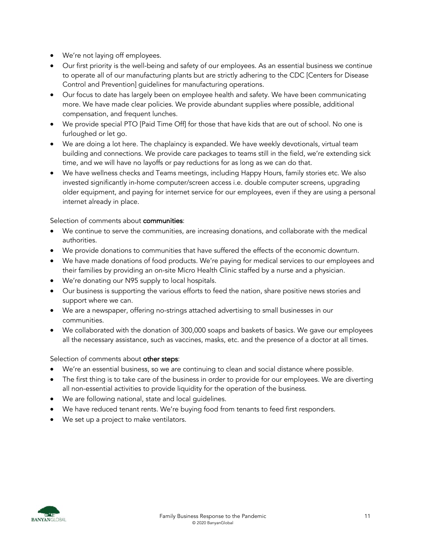- We're not laying off employees.
- Our first priority is the well-being and safety of our employees. As an essential business we continue to operate all of our manufacturing plants but are strictly adhering to the CDC [Centers for Disease Control and Prevention] guidelines for manufacturing operations.
- Our focus to date has largely been on employee health and safety. We have been communicating more. We have made clear policies. We provide abundant supplies where possible, additional compensation, and frequent lunches.
- We provide special PTO [Paid Time Off] for those that have kids that are out of school. No one is furloughed or let go.
- We are doing a lot here. The chaplaincy is expanded. We have weekly devotionals, virtual team building and connections. We provide care packages to teams still in the field, we're extending sick time, and we will have no layoffs or pay reductions for as long as we can do that.
- We have wellness checks and Teams meetings, including Happy Hours, family stories etc. We also invested significantly in-home computer/screen access i.e. double computer screens, upgrading older equipment, and paying for internet service for our employees, even if they are using a personal internet already in place.

Selection of comments about communities:

- We continue to serve the communities, are increasing donations, and collaborate with the medical authorities.
- We provide donations to communities that have suffered the effects of the economic downturn.
- We have made donations of food products. We're paying for medical services to our employees and their families by providing an on-site Micro Health Clinic staffed by a nurse and a physician.
- We're donating our N95 supply to local hospitals.
- Our business is supporting the various efforts to feed the nation, share positive news stories and support where we can.
- We are a newspaper, offering no-strings attached advertising to small businesses in our communities.
- We collaborated with the donation of 300,000 soaps and baskets of basics. We gave our employees all the necessary assistance, such as vaccines, masks, etc. and the presence of a doctor at all times.

## Selection of comments about other steps:

- We're an essential business, so we are continuing to clean and social distance where possible.
- The first thing is to take care of the business in order to provide for our employees. We are diverting all non-essential activities to provide liquidity for the operation of the business.
- We are following national, state and local guidelines.
- We have reduced tenant rents. We're buying food from tenants to feed first responders.
- We set up a project to make ventilators.

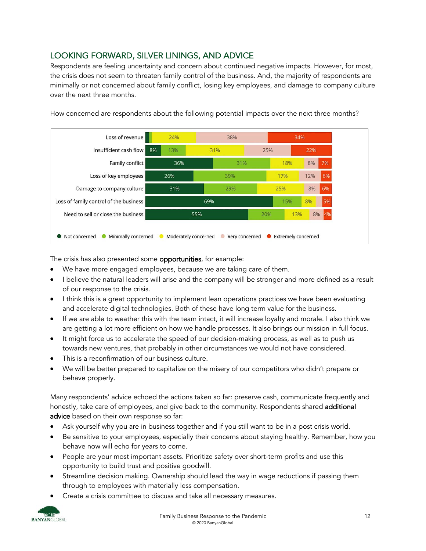# LOOKING FORWARD, SILVER LININGS, AND ADVICE

Respondents are feeling uncertainty and concern about continued negative impacts. However, for most, the crisis does not seem to threaten family control of the business. And, the majority of respondents are minimally or not concerned about family conflict, losing key employees, and damage to company culture over the next three months.



How concerned are respondents about the following potential impacts over the next three months?

The crisis has also presented some **opportunities**, for example:

- We have more engaged employees, because we are taking care of them.
- I believe the natural leaders will arise and the company will be stronger and more defined as a result of our response to the crisis.
- I think this is a great opportunity to implement lean operations practices we have been evaluating and accelerate digital technologies. Both of these have long term value for the business.
- If we are able to weather this with the team intact, it will increase loyalty and morale. I also think we are getting a lot more efficient on how we handle processes. It also brings our mission in full focus.
- It might force us to accelerate the speed of our decision-making process, as well as to push us towards new ventures, that probably in other circumstances we would not have considered.
- This is a reconfirmation of our business culture.
- We will be better prepared to capitalize on the misery of our competitors who didn't prepare or behave properly.

Many respondents' advice echoed the actions taken so far: preserve cash, communicate frequently and honestly, take care of employees, and give back to the community. Respondents shared additional advice based on their own response so far:

- Ask yourself why you are in business together and if you still want to be in a post crisis world.
- Be sensitive to your employees, especially their concerns about staying healthy. Remember, how you behave now will echo for years to come.
- People are your most important assets. Prioritize safety over short-term profits and use this opportunity to build trust and positive goodwill.
- Streamline decision making. Ownership should lead the way in wage reductions if passing them through to employees with materially less compensation.
- Create a crisis committee to discuss and take all necessary measures.